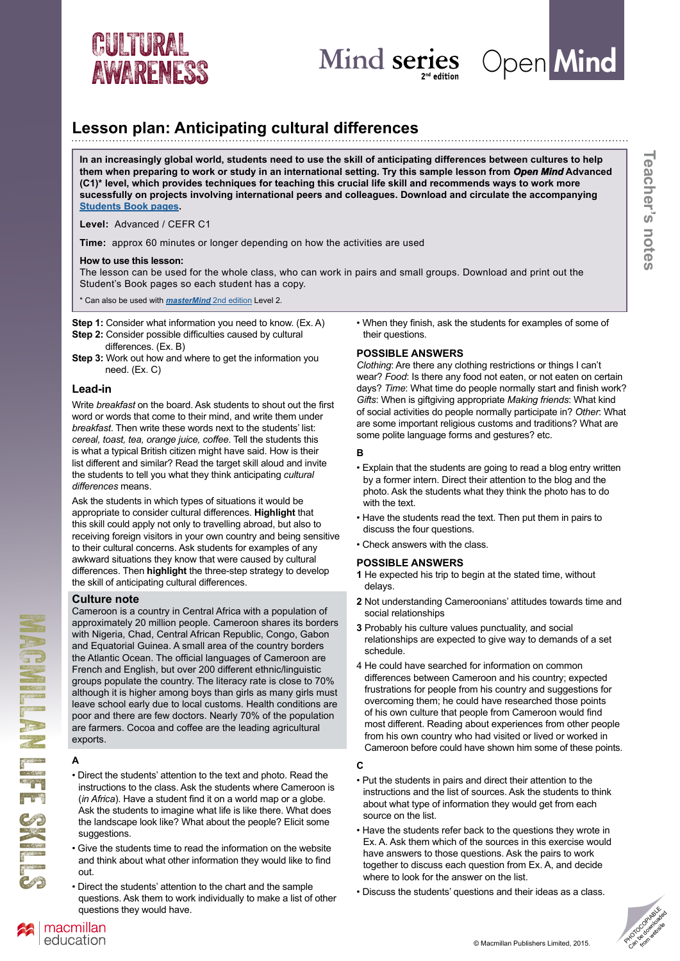



**Teacher's notes**

Teacher's notes

# **Lesson plan: Anticipating cultural differences**

**In an increasingly global world, students need to use the skill of anticipating differences between cultures to help them when preparing to work or study in an international setting. Try this sample lesson from** *Open Mind* **Advanced (C1)\* level, which provides techniques for teaching this crucial life skill and recommends ways to work more sucessfully on projects involving international peers and colleagues. Download and circulate the accompanying [Students Book pages.](http://www.macmillanenglish.com/life-skills/cultural-awareness/#openmind)** 

**Level:** Advanced / CEFR C1

**Time:** approx 60 minutes or longer depending on how the activities are used

#### **How to use this lesson:**

The lesson can be used for the whole class, who can work in pairs and small groups. Download and print out the Student's Book pages so each student has a copy.

\* Can also be used with *[masterMind](http://www.macmillanmind.com/?utm_source=LifeSkillsAdultMailing&utm_medium=email&utm_content=OMActivityAug&utm_campaign=Mindseries)* 2nd edition Level 2.

**Step 1:** Consider what information you need to know. (Ex. A)

- **Step 2:** Consider possible difficulties caused by cultural differences. (Ex. B)
- **Step 3:** Work out how and where to get the information you need. (Ex. C)

# **Lead-in**

Write *breakfast* on the board. Ask students to shout out the first word or words that come to their mind, and write them under *breakfast*. Then write these words next to the students' list: *cereal, toast, tea, orange juice, coffee*. Tell the students this is what a typical British citizen might have said. How is their list different and similar? Read the target skill aloud and invite the students to tell you what they think anticipating *cultural differences* means.

Ask the students in which types of situations it would be appropriate to consider cultural differences. **Highlight** that this skill could apply not only to travelling abroad, but also to receiving foreign visitors in your own country and being sensitive to their cultural concerns. Ask students for examples of any awkward situations they know that were caused by cultural differences. Then **highlight** the three-step strategy to develop the skill of anticipating cultural differences.

### **Culture note**

Cameroon is a country in Central Africa with a population of approximately 20 million people. Cameroon shares its borders with Nigeria, Chad, Central African Republic, Congo, Gabon and Equatorial Guinea. A small area of the country borders the Atlantic Ocean. The official languages of Cameroon are French and English, but over 200 different ethnic/linguistic groups populate the country. The literacy rate is close to 70% although it is higher among boys than girls as many girls must leave school early due to local customs. Health conditions are poor and there are few doctors. Nearly 70% of the population are farmers. Cocoa and coffee are the leading agricultural exports.

### **A**

MACHES SKILLS

**CONSTRUCTION** 

- Direct the students' attention to the text and photo. Read the instructions to the class. Ask the students where Cameroon is (*in Africa*). Have a student find it on a world map or a globe. Ask the students to imagine what life is like there. What does the landscape look like? What about the people? Elicit some suggestions.
- Give the students time to read the information on the website and think about what other information they would like to find out.
- Direct the students' attention to the chart and the sample questions. Ask them to work individually to make a list of other questions they would have.

• When they finish, ask the students for examples of some of their questions.

# **POSSIBLE ANSWERS**

*Clothing*: Are there any clothing restrictions or things I can't wear? *Food*: Is there any food not eaten, or not eaten on certain days? *Time*: What time do people normally start and finish work? *Gifts*: When is giftgiving appropriate *Making friends*: What kind of social activities do people normally participate in? *Other*: What are some important religious customs and traditions? What are some polite language forms and gestures? etc.

### **B**

- Explain that the students are going to read a blog entry written by a former intern. Direct their attention to the blog and the photo. Ask the students what they think the photo has to do with the text.
- Have the students read the text. Then put them in pairs to discuss the four questions.
- Check answers with the class.

### **POSSIBLE ANSWERS**

- **1** He expected his trip to begin at the stated time, without delays.
- **2** Not understanding Cameroonians' attitudes towards time and social relationships
- **3** Probably his culture values punctuality, and social relationships are expected to give way to demands of a set schedule.
- 4 He could have searched for information on common differences between Cameroon and his country; expected frustrations for people from his country and suggestions for overcoming them; he could have researched those points of his own culture that people from Cameroon would find most different. Reading about experiences from other people from his own country who had visited or lived or worked in Cameroon before could have shown him some of these points.

# **C**

- Put the students in pairs and direct their attention to the instructions and the list of sources. Ask the students to think about what type of information they would get from each source on the list.
- Have the students refer back to the questions they wrote in Ex. A. Ask them which of the sources in this exercise would have answers to those questions. Ask the pairs to work together to discuss each question from Ex. A, and decide where to look for the answer on the list.
- Discuss the students' questions and their ideas as a class.